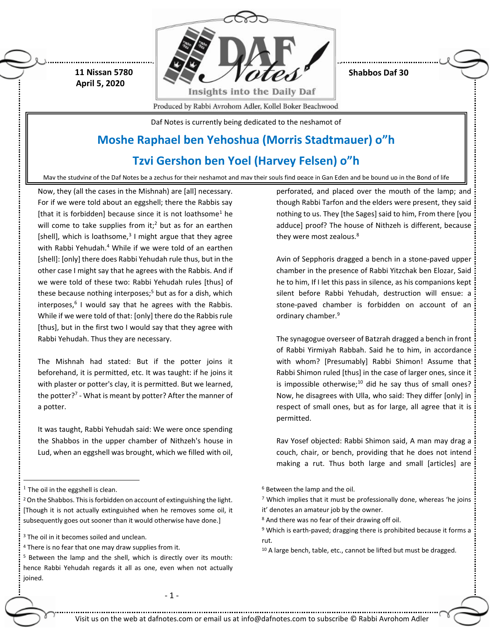

**Shabbos Daf 30**

**April 5, 2020**

 **11 Nissan 5780**

Produced by Rabbi Avrohom Adler, Kollel Boker Beachwood

Daf Notes is currently being dedicated to the neshamot of

# **Moshe Raphael ben Yehoshua (Morris Stadtmauer) o"h**

# **Tzvi Gershon ben Yoel (Harvey Felsen) o"h**

May the studying of the Daf Notes be a zechus for their neshamot and may their souls find peace in Gan Eden and be bound up in the Bond of life

Now, they (all the cases in the Mishnah) are [all] necessary. For if we were told about an eggshell; there the Rabbis say [that it is forbidden] because since it is not loathsome<sup>1</sup> he will come to take supplies from it;<sup>2</sup> but as for an earthen [shell], which is loathsome, $3$  I might argue that they agree with Rabbi Yehudah.<sup>4</sup> While if we were told of an earthen [shell]: [only] there does Rabbi Yehudah rule thus, but in the other case I might say that he agrees with the Rabbis. And if we were told of these two: Rabbi Yehudah rules [thus] of these because nothing interposes;<sup>5</sup> but as for a dish, which interposes,<sup>6</sup> I would say that he agrees with the Rabbis. While if we were told of that: [only] there do the Rabbis rule [thus], but in the first two I would say that they agree with Rabbi Yehudah. Thus they are necessary.

The Mishnah had stated: But if the potter joins it beforehand, it is permitted, etc. It was taught: if he joins it with plaster or potter's clay, it is permitted. But we learned, the potter? 7 - What is meant by potter? After the manner of a potter.

It was taught, Rabbi Yehudah said: We were once spending the Shabbos in the upper chamber of Nithzeh's house in Lud, when an eggshell was brought, which we filled with oil,

 $\overline{a}$ 

<sup>4</sup> There is no fear that one may draw supplies from it.

- 1 -

perforated, and placed over the mouth of the lamp; and though Rabbi Tarfon and the elders were present, they said nothing to us. They [the Sages] said to him, From there [you adduce] proof? The house of Nithzeh is different, because they were most zealous.<sup>8</sup>

Avin of Sepphoris dragged a bench in a stone-paved upper chamber in the presence of Rabbi Yitzchak ben Elozar, Said he to him, If I let this pass in silence, as his companions kept silent before Rabbi Yehudah, destruction will ensue: a stone-paved chamber is forbidden on account of an ordinary chamber.<sup>9</sup>

The synagogue overseer of Batzrah dragged a bench in front of Rabbi Yirmiyah Rabbah. Said he to him, in accordance with whom? [Presumably] Rabbi Shimon! Assume that Rabbi Shimon ruled [thus] in the case of larger ones, since it is impossible otherwise; $10$  did he say thus of small ones? Now, he disagrees with Ulla, who said: They differ [only] in respect of small ones, but as for large, all agree that it is permitted.

Rav Yosef objected: Rabbi Shimon said, A man may drag a couch, chair, or bench, providing that he does not intend making a rut. Thus both large and small [articles] are

<sup>6</sup> Between the lamp and the oil.

Visit us on the web at dafnotes.com or email us a[t info@dafnotes.com](mailto:info@dafnotes.com) to subscribe © Rabbi Avrohom Adler

 $<sup>1</sup>$  The oil in the eggshell is clean.</sup>

<sup>&</sup>lt;sup>2</sup> On the Shabbos. This is forbidden on account of extinguishing the light. [Though it is not actually extinguished when he removes some oil, it subsequently goes out sooner than it would otherwise have done.]

<sup>&</sup>lt;sup>3</sup> The oil in it becomes soiled and unclean.

<sup>5</sup> Between the lamp and the shell, which is directly over its mouth: hence Rabbi Yehudah regards it all as one, even when not actually joined.

<sup>7</sup> Which implies that it must be professionally done, whereas 'he joins it' denotes an amateur job by the owner.

<sup>8</sup> And there was no fear of their drawing off oil.

<sup>9</sup> Which is earth-paved; dragging there is prohibited because it forms a rut.

 $10$  A large bench, table, etc., cannot be lifted but must be dragged.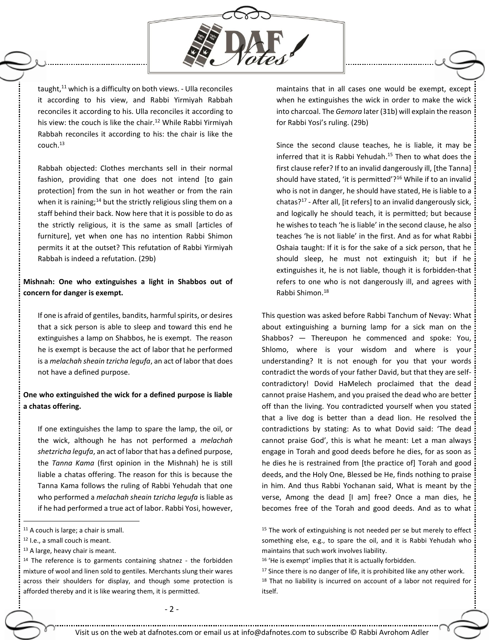

taught, $11$  which is a difficulty on both views. - Ulla reconciles it according to his view, and Rabbi Yirmiyah Rabbah reconciles it according to his. Ulla reconciles it according to his view: the couch is like the chair.<sup>12</sup> While Rabbi Yirmiyah Rabbah reconciles it according to his: the chair is like the couch.<sup>13</sup>

Rabbah objected: Clothes merchants sell in their normal fashion, providing that one does not intend [to gain protection] from the sun in hot weather or from the rain when it is raining;<sup>14</sup> but the strictly religious sling them on a staff behind their back. Now here that it is possible to do as the strictly religious, it is the same as small [articles of furniture], yet when one has no intention Rabbi Shimon permits it at the outset? This refutation of Rabbi Yirmiyah Rabbah is indeed a refutation. (29b)

### **Mishnah: One who extinguishes a light in Shabbos out of concern for danger is exempt.**

If one is afraid of gentiles, bandits, harmful spirits, or desires that a sick person is able to sleep and toward this end he extinguishes a lamp on Shabbos, he is exempt. The reason he is exempt is because the act of labor that he performed is a *melachah sheain tzricha legufa*, an act of labor that does not have a defined purpose.

## **One who extinguished the wick for a defined purpose is liable a chatas offering.**

If one extinguishes the lamp to spare the lamp, the oil, or the wick, although he has not performed a *melachah shetzricha legufa*, an act of labor that has a defined purpose, the *Tanna Kama* (first opinion in the Mishnah) he is still liable a chatas offering. The reason for this is because the Tanna Kama follows the ruling of Rabbi Yehudah that one who performed a *melachah sheain tzricha legufa* is liable as if he had performed a true act of labor. Rabbi Yosi, however,

 $\ddot{\phantom{a}}$ 

maintains that in all cases one would be exempt, except when he extinguishes the wick in order to make the wick into charcoal. The *Gemora* later (31b) will explain the reason for Rabbi Yosi's ruling. (29b)

Since the second clause teaches, he is liable, it may be inferred that it is Rabbi Yehudah.<sup>15</sup> Then to what does the first clause refer? If to an invalid dangerously ill, [the Tanna] should have stated, 'it is permitted'? $16$  While if to an invalid who is not in danger, he should have stated, He is liable to a chatas?<sup>17</sup> - After all, [it refers] to an invalid dangerously sick, and logically he should teach, it is permitted; but because he wishes to teach 'he is liable' in the second clause, he also teaches 'he is not liable' in the first. And as for what Rabbi Oshaia taught: If it is for the sake of a sick person, that he should sleep, he must not extinguish it; but if he extinguishes it, he is not liable, though it is forbidden-that refers to one who is not dangerously ill, and agrees with Rabbi Shimon.<sup>18</sup>

This question was asked before Rabbi Tanchum of Nevay: What about extinguishing a burning lamp for a sick man on the Shabbos? — Thereupon he commenced and spoke: You, Shlomo, where is your wisdom and where is your understanding? It is not enough for you that your words contradict the words of your father David, but that they are selfcontradictory! Dovid HaMelech proclaimed that the dead cannot praise Hashem, and you praised the dead who are better off than the living. You contradicted yourself when you stated that a live dog is better than a dead lion. He resolved the contradictions by stating: As to what Dovid said: 'The dead cannot praise God', this is what he meant: Let a man always engage in Torah and good deeds before he dies, for as soon as he dies he is restrained from [the practice of] Torah and good deeds, and the Holy One, Blessed be He, finds nothing to praise in him. And thus Rabbi Yochanan said, What is meant by the verse, Among the dead [I am] free? Once a man dies, he becomes free of the Torah and good deeds. And as to what

<sup>11</sup> A couch is large; a chair is small.

<sup>12</sup> I.e., a small couch is meant.

<sup>13</sup> A large, heavy chair is meant.

<sup>&</sup>lt;sup>14</sup> The reference is to garments containing shatnez - the forbidden mixture of wool and linen sold to gentiles. Merchants slung their wares across their shoulders for display, and though some protection is afforded thereby and it is like wearing them, it is permitted.

 $15$  The work of extinguishing is not needed per se but merely to effect something else, e.g., to spare the oil, and it is Rabbi Yehudah who maintains that such work involves liability.

<sup>16</sup> 'He is exempt' implies that it is actually forbidden.

<sup>&</sup>lt;sup>17</sup> Since there is no danger of life, it is prohibited like any other work. <sup>18</sup> That no liability is incurred on account of a labor not required for itself.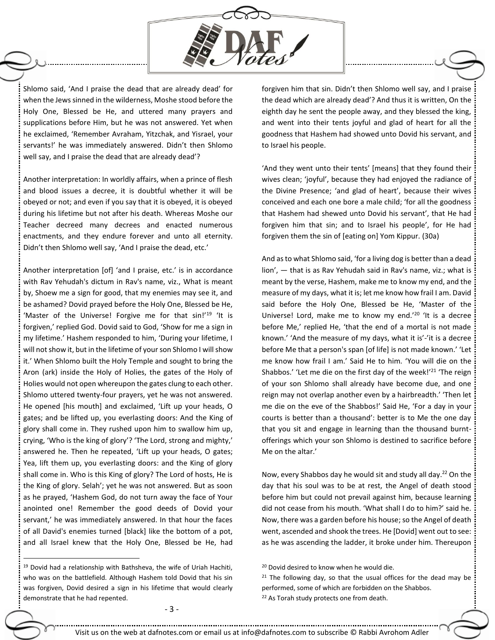

Shlomo said, 'And I praise the dead that are already dead' for when the Jews sinned in the wilderness, Moshe stood before the Holy One, Blessed be He, and uttered many prayers and supplications before Him, but he was not answered. Yet when he exclaimed, 'Remember Avraham, Yitzchak, and Yisrael, your servants!' he was immediately answered. Didn't then Shlomo well say, and I praise the dead that are already dead'?

Another interpretation: In worldly affairs, when a prince of flesh and blood issues a decree, it is doubtful whether it will be obeyed or not; and even if you say that it is obeyed, it is obeyed during his lifetime but not after his death. Whereas Moshe our Teacher decreed many decrees and enacted numerous enactments, and they endure forever and unto all eternity. Didn't then Shlomo well say, 'And I praise the dead, etc.'

Another interpretation [of] 'and I praise, etc.' is in accordance with Rav Yehudah's dictum in Rav's name, viz., What is meant by, Shoew me a sign for good, that my enemies may see it, and be ashamed? Dovid prayed before the Holy One, Blessed be He, 'Master of the Universe! Forgive me for that sin!'<sup>19</sup> 'It is forgiven,' replied God. Dovid said to God, 'Show for me a sign in my lifetime.' Hashem responded to him, 'During your lifetime, I will not show it, but in the lifetime of your son Shlomo I will show it.' When Shlomo built the Holy Temple and sought to bring the Aron (ark) inside the Holy of Holies, the gates of the Holy of Holies would not open whereupon the gates clung to each other. Shlomo uttered twenty-four prayers, yet he was not answered. He opened [his mouth] and exclaimed, 'Lift up your heads, O gates; and be lifted up, you everlasting doors: And the King of glory shall come in. They rushed upon him to swallow him up, crying, 'Who is the king of glory'? 'The Lord, strong and mighty,' answered he. Then he repeated, 'Lift up your heads, O gates; Yea, lift them up, you everlasting doors: and the King of glory shall come in. Who is this King of glory? The Lord of hosts, He is the King of glory. Selah'; yet he was not answered. But as soon as he prayed, 'Hashem God, do not turn away the face of Your anointed one! Remember the good deeds of Dovid your servant,' he was immediately answered. In that hour the faces of all David's enemies turned [black] like the bottom of a pot, and all Israel knew that the Holy One, Blessed be He, had

 $\overline{a}$ 

forgiven him that sin. Didn't then Shlomo well say, and I praise the dead which are already dead'? And thus it is written, On the eighth day he sent the people away, and they blessed the king, and went into their tents joyful and glad of heart for all the goodness that Hashem had showed unto Dovid his servant, and to Israel his people.

'And they went unto their tents' [means] that they found their wives clean; 'joyful', because they had enjoyed the radiance of the Divine Presence; 'and glad of heart', because their wives conceived and each one bore a male child; 'for all the goodness that Hashem had shewed unto Dovid his servant', that He had forgiven him that sin; and to Israel his people', for He had forgiven them the sin of [eating on] Yom Kippur. (30a)

And as to what Shlomo said, 'for a living dog is better than a dead lion', — that is as Rav Yehudah said in Rav's name, viz.; what is meant by the verse, Hashem, make me to know my end, and the measure of my days, what it is; let me know how frail I am. David said before the Holy One, Blessed be He, 'Master of the Universe! Lord, make me to know my end.'<sup>20</sup> 'It is a decree before Me,' replied He, 'that the end of a mortal is not made known.' 'And the measure of my days, what it is'-'it is a decree before Me that a person's span [of life] is not made known.' 'Let me know how frail I am.' Said He to him. 'You will die on the Shabbos.' 'Let me die on the first day of the week!'<sup>21</sup> 'The reign of your son Shlomo shall already have become due, and one reign may not overlap another even by a hairbreadth.' 'Then let me die on the eve of the Shabbos!' Said He, 'For a day in your courts is better than a thousand': better is to Me the one day that you sit and engage in learning than the thousand burntofferings which your son Shlomo is destined to sacrifice before Me on the altar.'

Now, every Shabbos day he would sit and study all day.<sup>22</sup> On the day that his soul was to be at rest, the Angel of death stood before him but could not prevail against him, because learning did not cease from his mouth. 'What shall I do to him?' said he. Now, there was a garden before his house; so the Angel of death went, ascended and shook the trees. He [Dovid] went out to see: as he was ascending the ladder, it broke under him. Thereupon

<sup>&</sup>lt;sup>19</sup> Dovid had a relationship with Bathsheva, the wife of Uriah Hachiti, who was on the battlefield. Although Hashem told Dovid that his sin was forgiven, Dovid desired a sign in his lifetime that would clearly demonstrate that he had repented.

<sup>&</sup>lt;sup>20</sup> Dovid desired to know when he would die.

 $21$  The following day, so that the usual offices for the dead may be performed, some of which are forbidden on the Shabbos. <sup>22</sup> As Torah study protects one from death.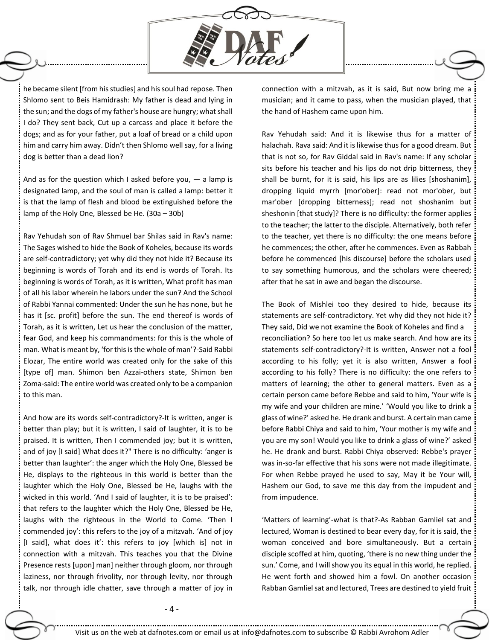

he became silent [from his studies] and his soul had repose. Then Shlomo sent to Beis Hamidrash: My father is dead and lying in the sun; and the dogs of my father's house are hungry; what shall I do? They sent back, Cut up a carcass and place it before the dogs; and as for your father, put a loaf of bread or a child upon him and carry him away. Didn't then Shlomo well say, for a living dog is better than a dead lion?

And as for the question which I asked before you,  $-$  a lamp is designated lamp, and the soul of man is called a lamp: better it is that the lamp of flesh and blood be extinguished before the lamp of the Holy One, Blessed be He. (30a – 30b)

Rav Yehudah son of Rav Shmuel bar Shilas said in Rav's name: The Sages wished to hide the Book of Koheles, because its words are self-contradictory; yet why did they not hide it? Because its beginning is words of Torah and its end is words of Torah. Its beginning is words of Torah, as it is written, What profit has man of all his labor wherein he labors under the sun? And the School of Rabbi Yannai commented: Under the sun he has none, but he has it [sc. profit] before the sun. The end thereof is words of Torah, as it is written, Let us hear the conclusion of the matter, fear God, and keep his commandments: for this is the whole of man. What is meant by, 'for this isthe whole of man'?-Said Rabbi Elozar, The entire world was created only for the sake of this [type of] man. Shimon ben Azzai-others state, Shimon ben Zoma-said: The entire world was created only to be a companion to this man.

And how are its words self-contradictory?-It is written, anger is better than play; but it is written, I said of laughter, it is to be praised. It is written, Then I commended joy; but it is written, and of joy [I said] What does it?" There is no difficulty: 'anger is better than laughter': the anger which the Holy One, Blessed be He, displays to the righteous in this world is better than the laughter which the Holy One, Blessed be He, laughs with the wicked in this world. 'And I said of laughter, it is to be praised': that refers to the laughter which the Holy One, Blessed be He, laughs with the righteous in the World to Come. 'Then I commended joy': this refers to the joy of a mitzvah. 'And of joy [I said], what does it': this refers to joy [which is] not in connection with a mitzvah. This teaches you that the Divine Presence rests [upon] man] neither through gloom, nor through laziness, nor through frivolity, nor through levity, nor through talk, nor through idle chatter, save through a matter of joy in connection with a mitzvah, as it is said, But now bring me a musician; and it came to pass, when the musician played, that the hand of Hashem came upon him.

Rav Yehudah said: And it is likewise thus for a matter of halachah. Rava said: And it is likewise thus for a good dream. But that is not so, for Rav Giddal said in Rav's name: If any scholar sits before his teacher and his lips do not drip bitterness, they shall be burnt, for it is said, his lips are as lilies [shoshanim], dropping liquid myrrh [mor'ober]: read not mor'ober, but mar'ober [dropping bitterness]; read not shoshanim but sheshonin [that study]? There is no difficulty: the former applies to the teacher; the latter to the disciple. Alternatively, both refer to the teacher, yet there is no difficulty: the one means before he commences; the other, after he commences. Even as Rabbah before he commenced [his discourse] before the scholars used to say something humorous, and the scholars were cheered; after that he sat in awe and began the discourse.

The Book of Mishlei too they desired to hide, because its statements are self-contradictory. Yet why did they not hide it? They said, Did we not examine the Book of Koheles and find a reconciliation? So here too let us make search. And how are its statements self-contradictory?-It is written, Answer not a fool according to his folly; yet it is also written, Answer a fool according to his folly? There is no difficulty: the one refers to matters of learning; the other to general matters. Even as a certain person came before Rebbe and said to him, 'Your wife is my wife and your children are mine.' 'Would you like to drink a glass of wine?' asked he. He drank and burst. A certain man came before Rabbi Chiya and said to him, 'Your mother is my wife and you are my son! Would you like to drink a glass of wine?' asked he. He drank and burst. Rabbi Chiya observed: Rebbe's prayer was in-so-far effective that his sons were not made illegitimate. For when Rebbe prayed he used to say, May it be Your will, Hashem our God, to save me this day from the impudent and from impudence.

'Matters of learning'-what is that?-As Rabban Gamliel sat and lectured, Woman is destined to bear every day, for it is said, the woman conceived and bore simultaneously. But a certain disciple scoffed at him, quoting, 'there is no new thing under the sun.' Come, and I will show you its equal in this world, he replied. He went forth and showed him a fowl. On another occasion Rabban Gamliel sat and lectured, Trees are destined to yield fruit

- 4 -